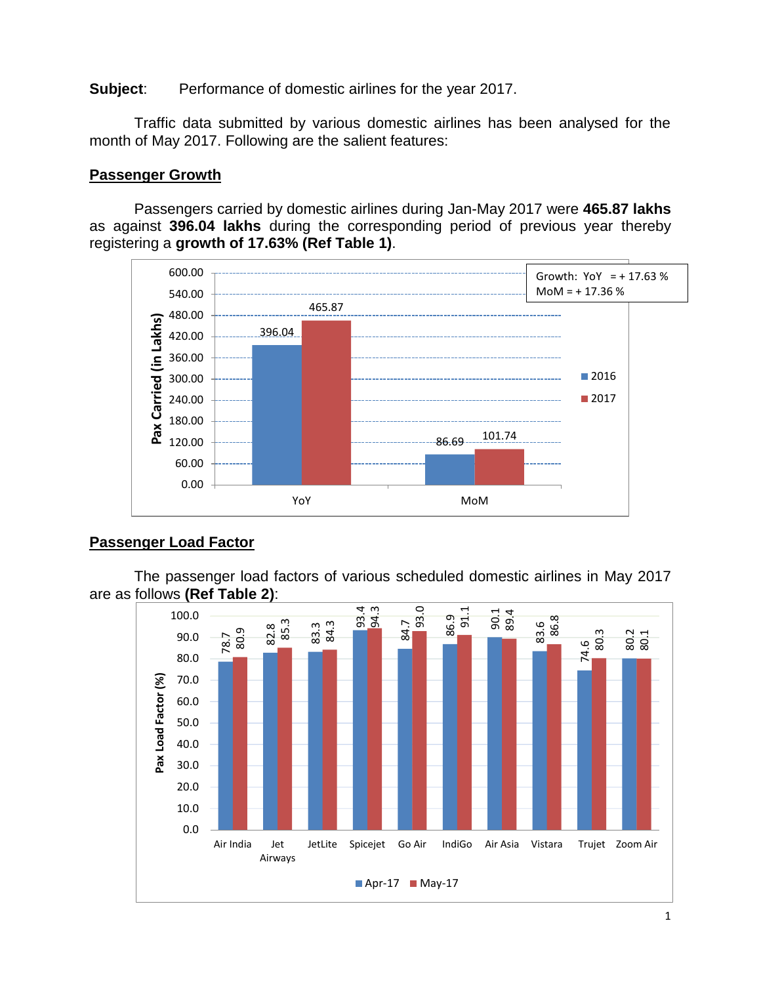**Subject:** Performance of domestic airlines for the year 2017.

Traffic data submitted by various domestic airlines has been analysed for the month of May 2017. Following are the salient features:

#### **Passenger Growth**

Passengers carried by domestic airlines during Jan-May 2017 were **465.87 lakhs**  as against **396.04 lakhs** during the corresponding period of previous year thereby registering a **growth of 17.63% (Ref Table 1)**.



#### **Passenger Load Factor**

The passenger load factors of various scheduled domestic airlines in May 2017 are as follows **(Ref Table 2)**:

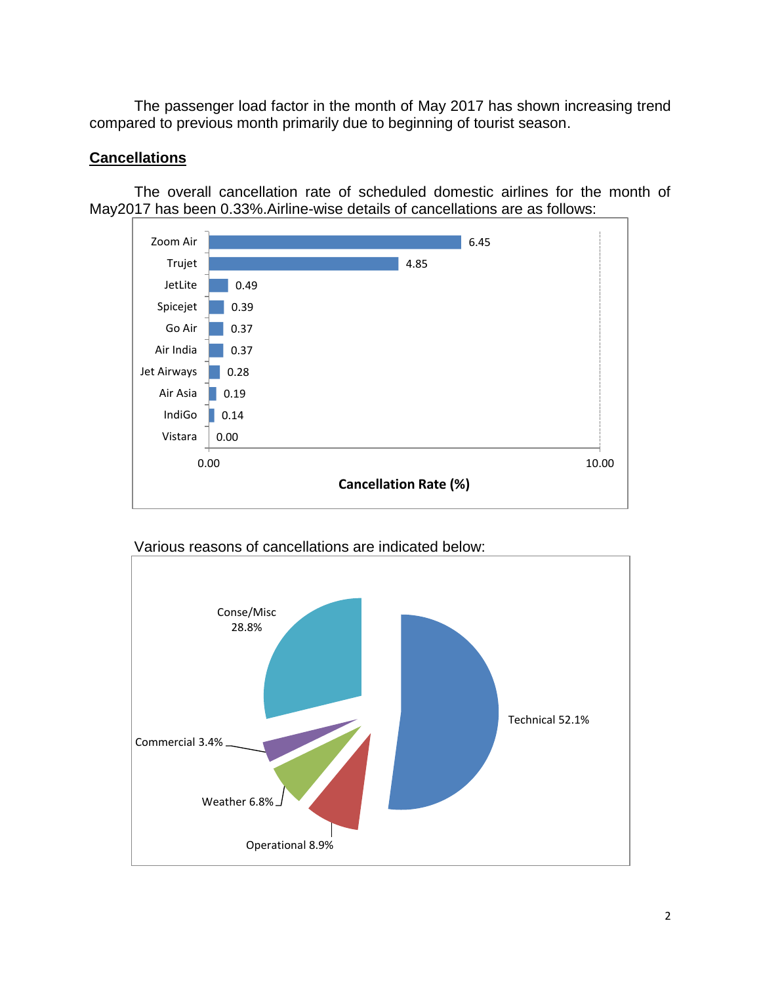The passenger load factor in the month of May 2017 has shown increasing trend compared to previous month primarily due to beginning of tourist season.

### **Cancellations**

The overall cancellation rate of scheduled domestic airlines for the month of May2017 has been 0.33%.Airline-wise details of cancellations are as follows:





Various reasons of cancellations are indicated below: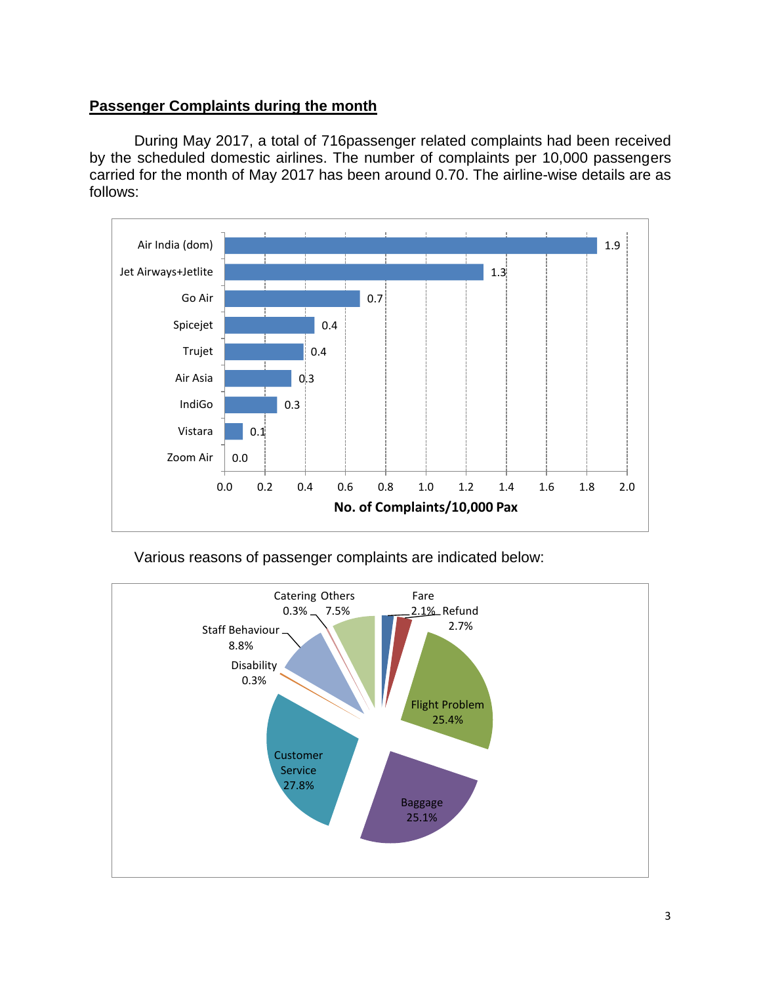#### **Passenger Complaints during the month**

During May 2017, a total of 716passenger related complaints had been received by the scheduled domestic airlines. The number of complaints per 10,000 passengers carried for the month of May 2017 has been around 0.70. The airline-wise details are as follows:



Various reasons of passenger complaints are indicated below:

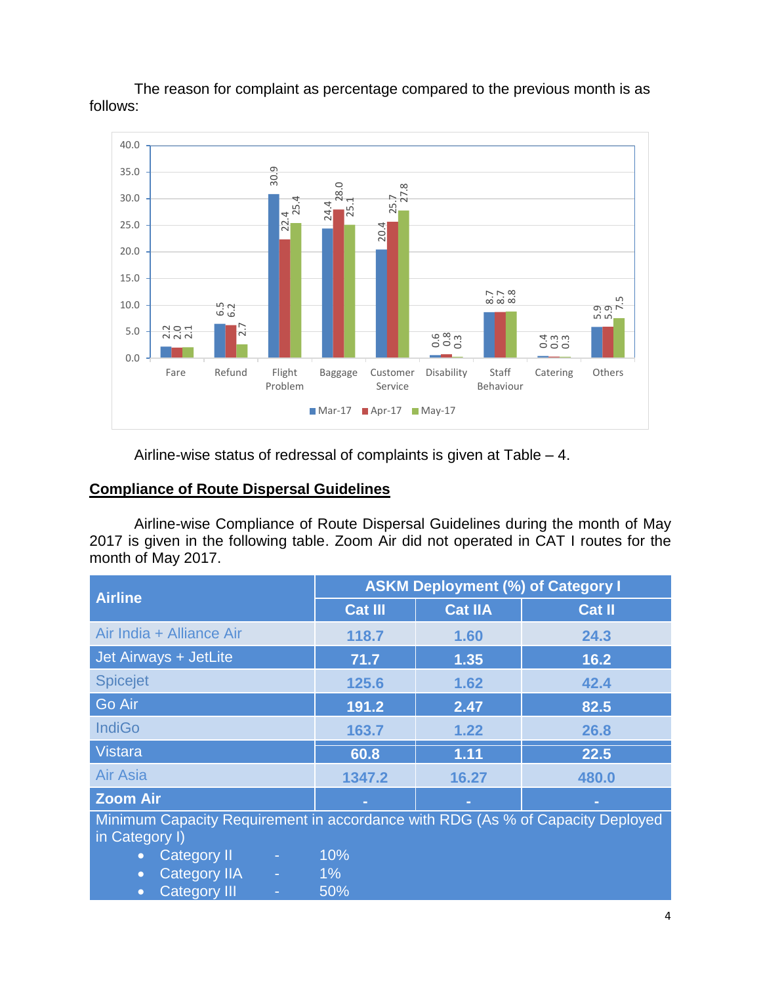



### **Compliance of Route Dispersal Guidelines**

| 35.0                                            |                     |                     | 30.9                |                |                                             |                                                                                         |                         |                       |               |  |
|-------------------------------------------------|---------------------|---------------------|---------------------|----------------|---------------------------------------------|-----------------------------------------------------------------------------------------|-------------------------|-----------------------|---------------|--|
| 30.0                                            |                     |                     |                     | 8.0            | $\infty$<br>25.7<br>27.                     |                                                                                         |                         |                       |               |  |
| 25.0                                            |                     |                     | $\frac{22.4}{25.4}$ | 24.4<br>I¤.    | 20.4                                        |                                                                                         |                         |                       |               |  |
| 20.0                                            |                     |                     |                     |                |                                             |                                                                                         |                         |                       |               |  |
| 15.0                                            |                     |                     |                     |                |                                             |                                                                                         |                         |                       |               |  |
| 10.0                                            |                     | 6.2<br>6.2          |                     |                |                                             |                                                                                         | $257$<br>$8.7$<br>$8.8$ |                       | ののべ           |  |
| 5.0                                             | $\frac{2001}{2001}$ |                     |                     |                |                                             |                                                                                         |                         |                       | ம் ம          |  |
| 0.0                                             |                     |                     |                     |                |                                             | $rac{6}{0.8}$                                                                           |                         | 0 0 0<br>0 0 0<br>0 0 |               |  |
|                                                 | Fare                | Refund              | Flight<br>Problem   | <b>Baggage</b> | Customer<br>Service                         | Disability                                                                              | Staff<br>Behaviour      | Catering              | Others        |  |
|                                                 |                     |                     |                     | $Mar-17$       | $\blacksquare$ Apr-17 $\blacksquare$ May-17 |                                                                                         |                         |                       |               |  |
|                                                 |                     |                     |                     |                |                                             | Airline-wise status of redressal of complaints is given at Table $-4$ .                 |                         |                       |               |  |
|                                                 |                     |                     |                     |                |                                             |                                                                                         |                         |                       |               |  |
| <b>Compliance of Route Dispersal Guidelines</b> |                     |                     |                     |                |                                             |                                                                                         |                         |                       |               |  |
|                                                 |                     |                     |                     |                |                                             | Airline-wise Compliance of Route Dispersal Guidelines during the month of May           |                         |                       |               |  |
|                                                 |                     |                     |                     |                |                                             | 2017 is given in the following table. Zoom Air did not operated in CAT I routes for the |                         |                       |               |  |
| month of May 2017.                              |                     |                     |                     |                |                                             |                                                                                         |                         |                       |               |  |
|                                                 |                     |                     |                     |                |                                             | <b>ASKM Deployment (%) of Category I</b>                                                |                         |                       |               |  |
| <b>Airline</b>                                  |                     |                     |                     |                | <b>Cat III</b>                              | <b>Cat IIA</b>                                                                          |                         |                       | <b>Cat II</b> |  |
| Air India + Alliance Air                        |                     |                     |                     |                | 118.7                                       | 1.60                                                                                    |                         |                       | 24.3          |  |
| Jet Airways + JetLite                           |                     |                     |                     |                | 71.7                                        | 1.35                                                                                    |                         |                       | 16.2          |  |
| <b>Spicejet</b>                                 |                     |                     |                     |                | 125.6                                       | 1.62                                                                                    |                         |                       | 42.4          |  |
| Go Air                                          |                     |                     |                     |                | 191.2                                       | 2.47                                                                                    |                         |                       | 82.5          |  |
| <b>IndiGo</b>                                   |                     |                     |                     |                | 163.7                                       | 1.22                                                                                    |                         |                       | 26.8          |  |
| Vistara                                         |                     |                     |                     |                | 60.8                                        | 1.11                                                                                    |                         |                       | 22.5          |  |
| <b>Air Asia</b>                                 |                     |                     |                     |                | 1347.2                                      | 16.27                                                                                   |                         |                       | 480.0         |  |
| <b>Zoom Air</b>                                 |                     |                     |                     |                |                                             |                                                                                         |                         |                       |               |  |
|                                                 |                     |                     |                     |                |                                             | Minimum Capacity Requirement in accordance with RDG (As % of Capacity Deployed          |                         |                       |               |  |
| in Category I)<br>$\bullet$                     | <b>Category II</b>  |                     |                     | 10%            |                                             |                                                                                         |                         |                       |               |  |
| $\bullet$                                       | Category III        | <b>Category IIA</b> |                     | $1\%$<br>50%   |                                             |                                                                                         |                         |                       |               |  |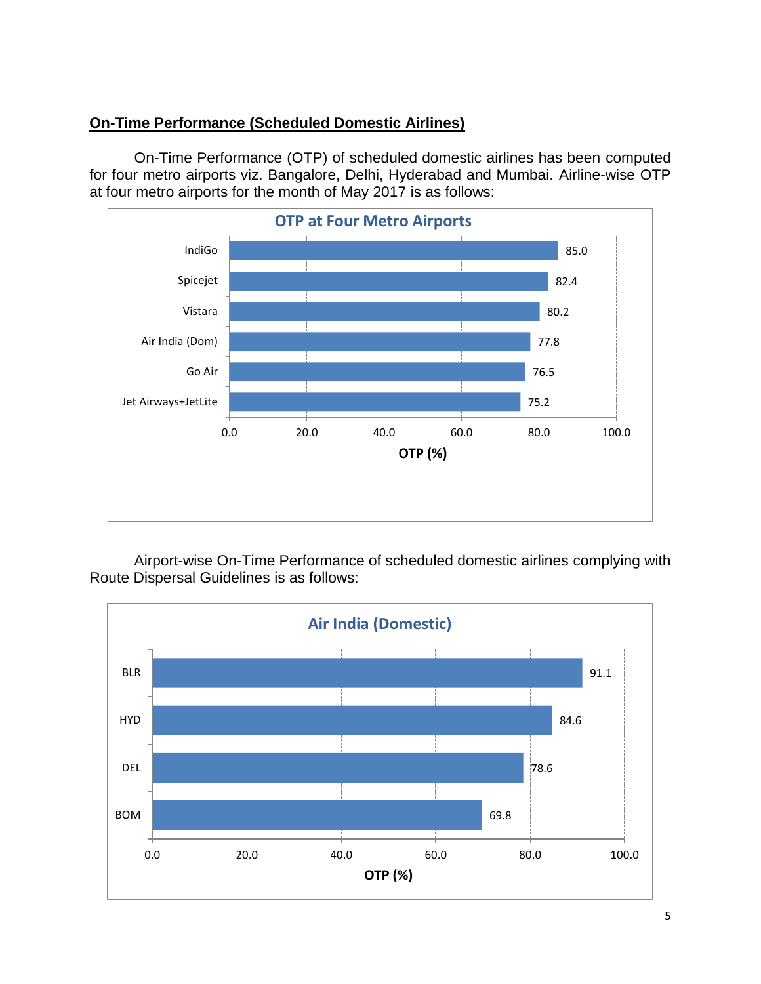### **On-Time Performance (Scheduled Domestic Airlines)**

On-Time Performance (OTP) of scheduled domestic airlines has been computed for four metro airports viz. Bangalore, Delhi, Hyderabad and Mumbai. Airline-wise OTP at four metro airports for the month of May 2017 is as follows:



Airport-wise On-Time Performance of scheduled domestic airlines complying with Route Dispersal Guidelines is as follows:

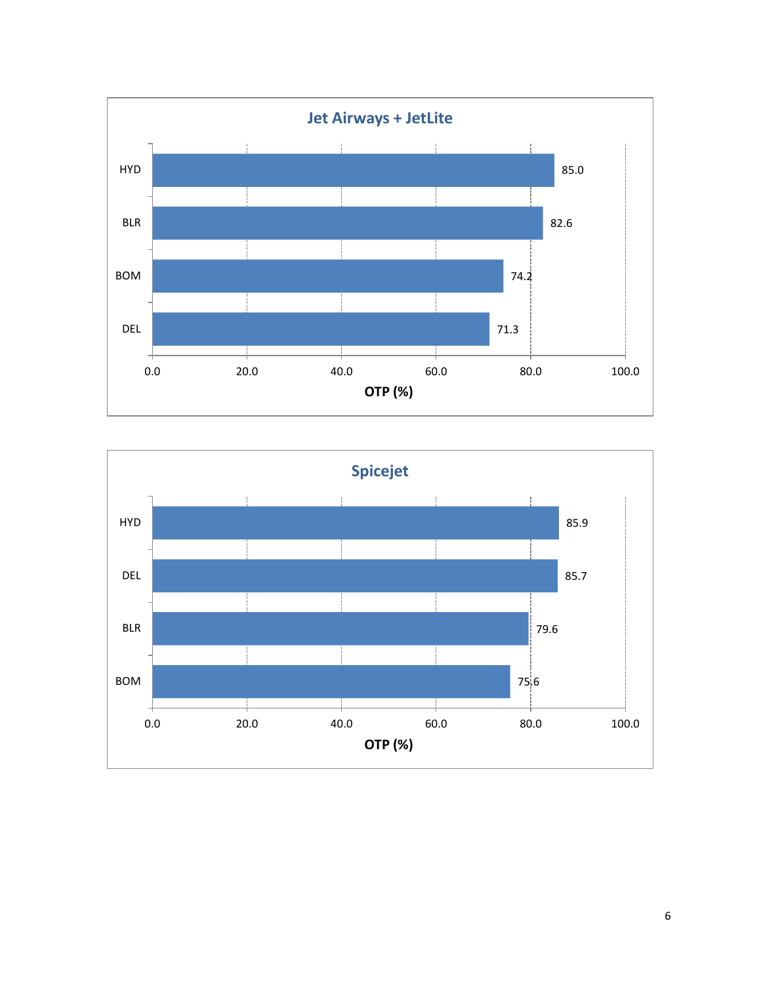



6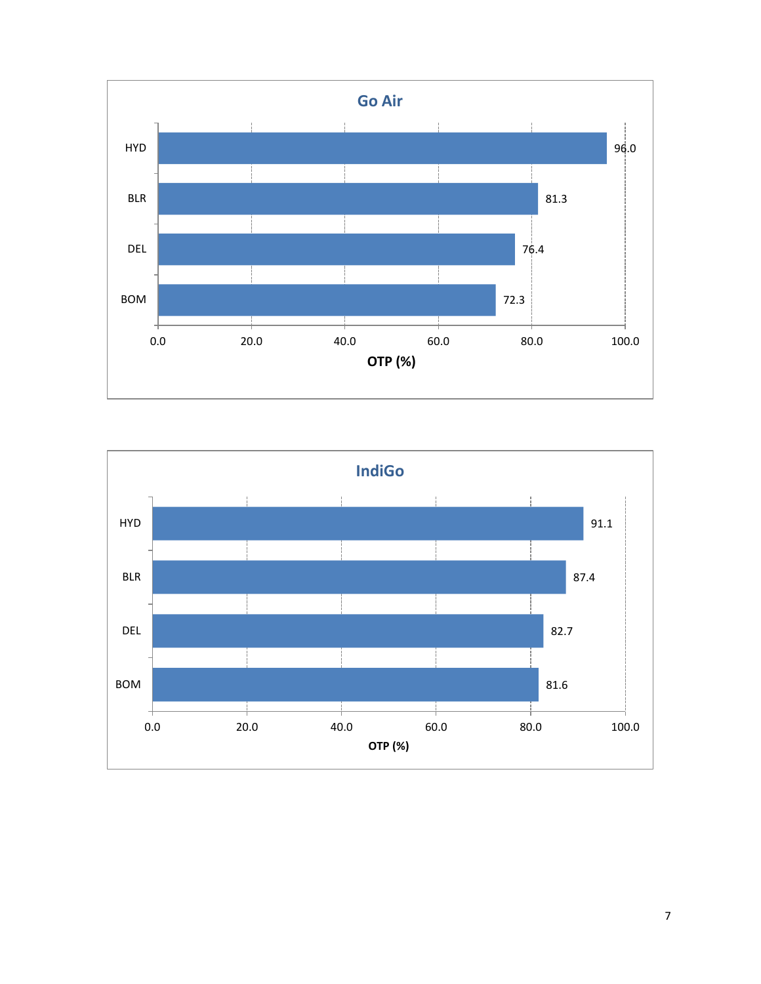



7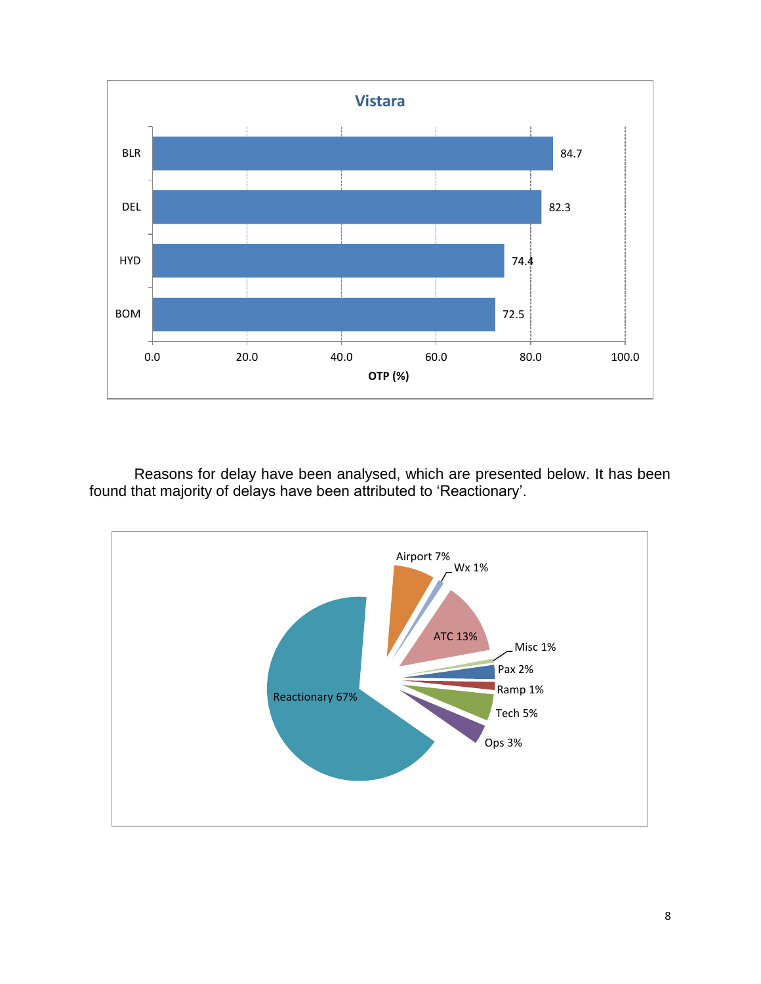

Reasons for delay have been analysed, which are presented below. It has been found that majority of delays have been attributed to 'Reactionary'.

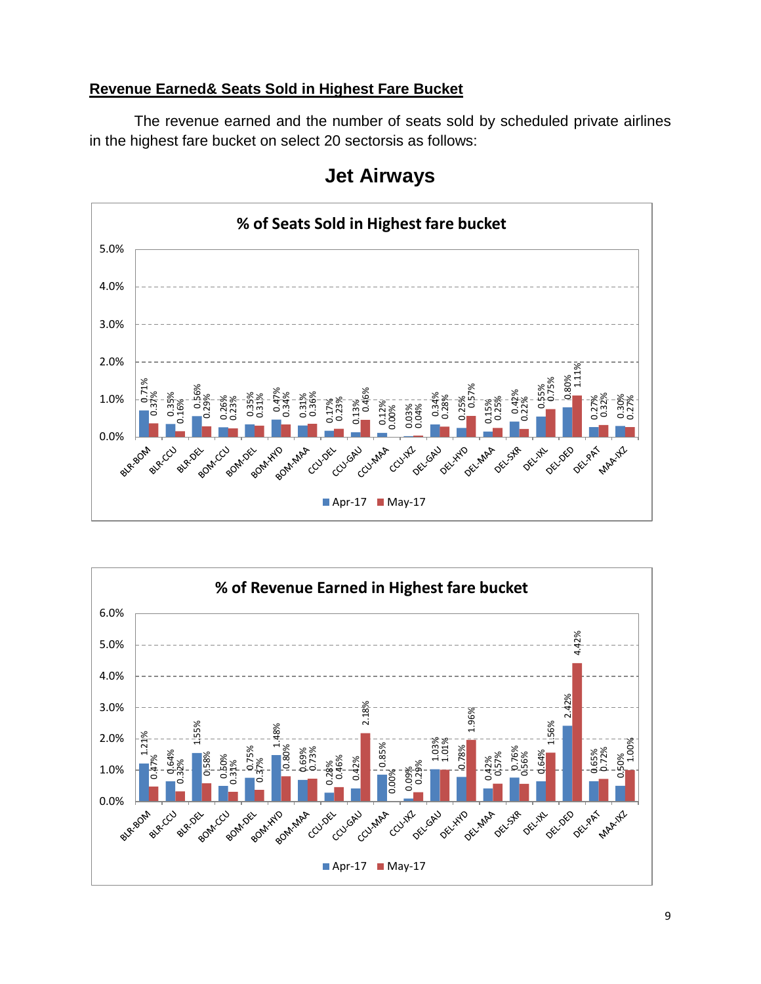#### **Revenue Earned& Seats Sold in Highest Fare Bucket**

The revenue earned and the number of seats sold by scheduled private airlines in the highest fare bucket on select 20 sectorsis as follows:





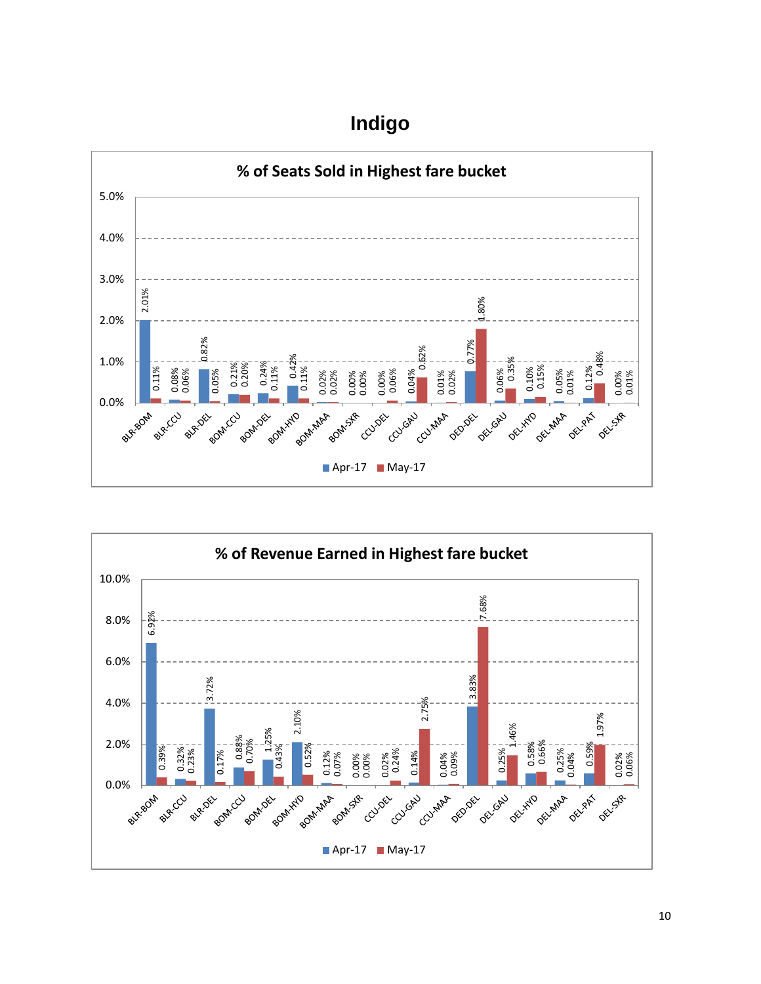# **Indigo**



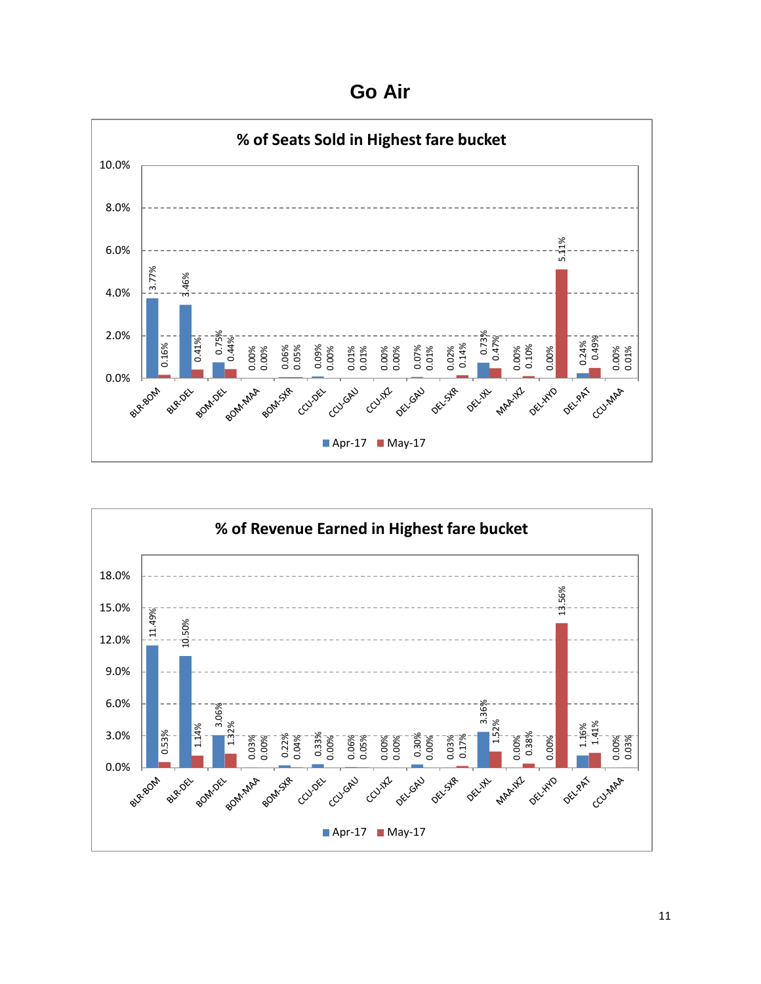**Go Air**



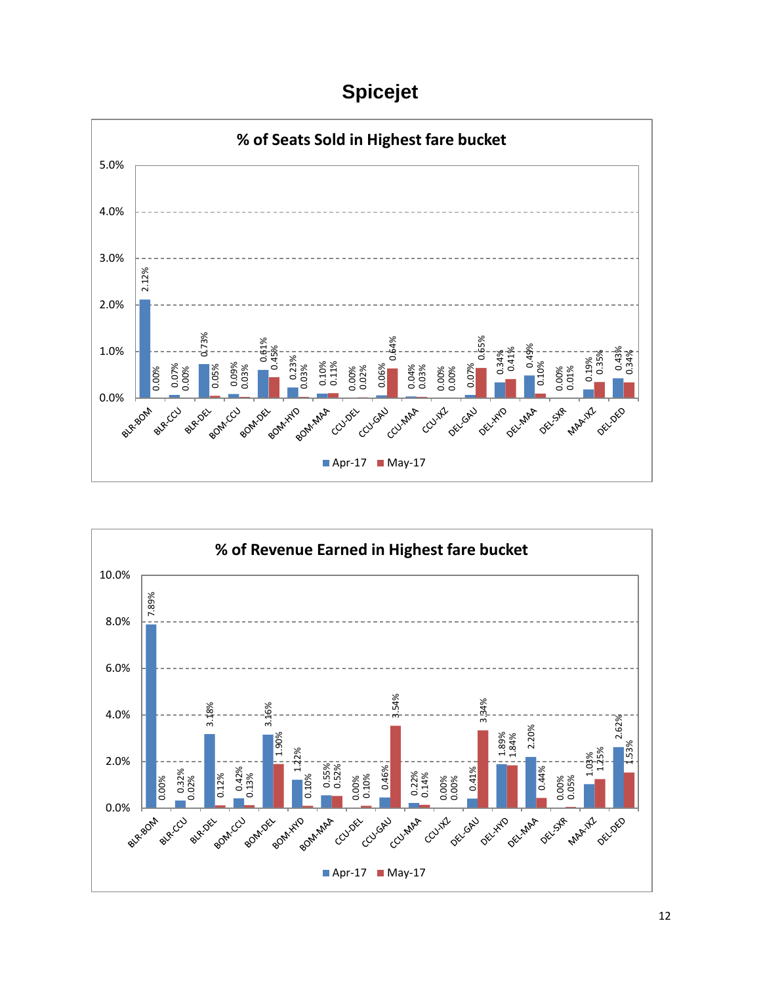# **Spicejet**



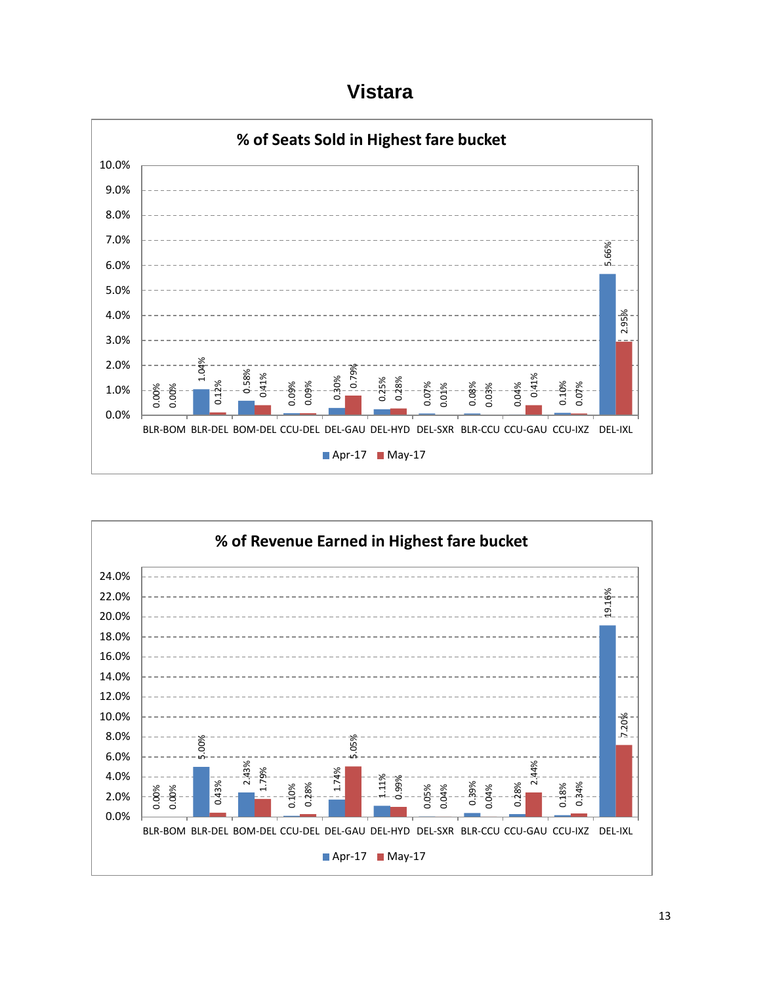**Vistara**



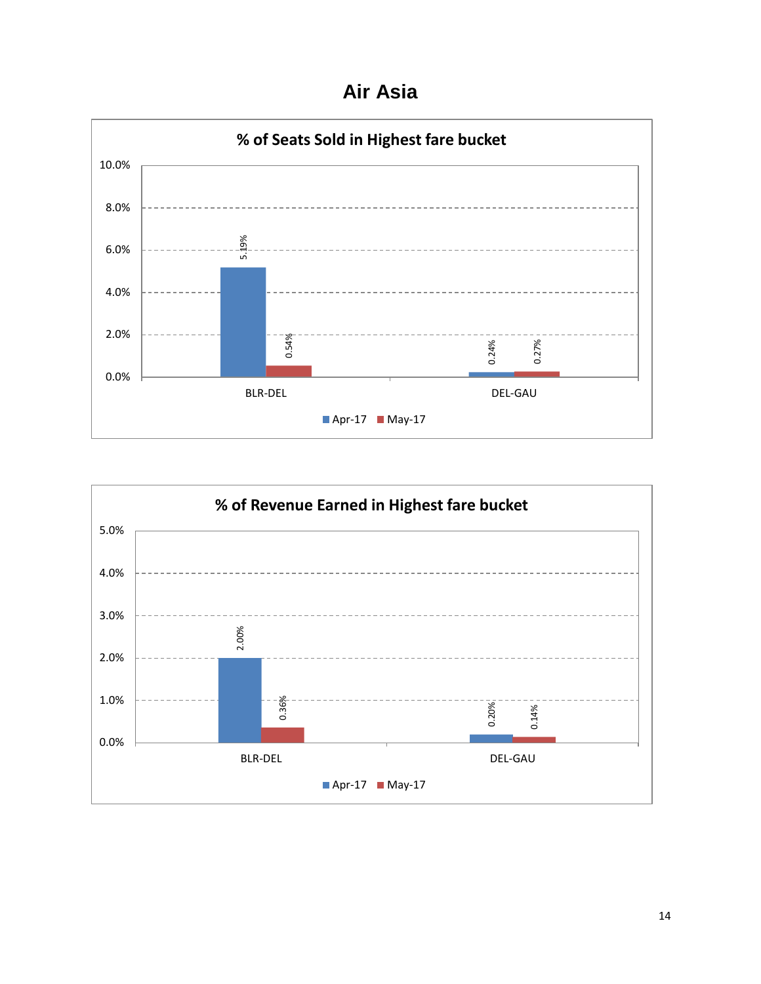**Air Asia**



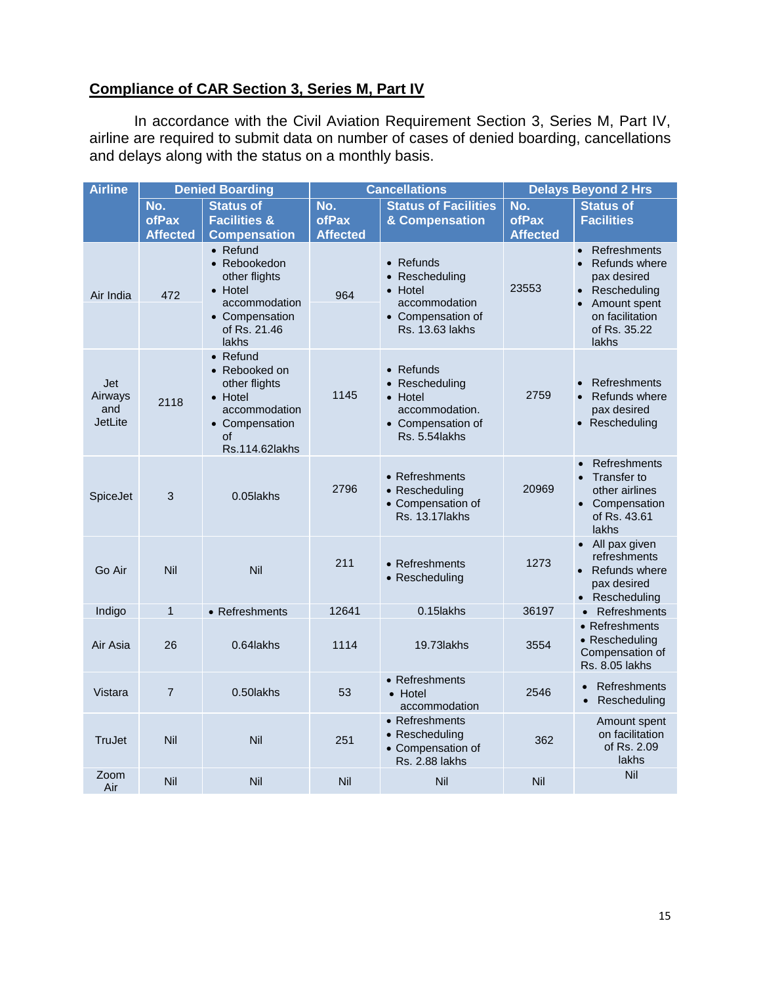#### **Compliance of CAR Section 3, Series M, Part IV**

In accordance with the Civil Aviation Requirement Section 3, Series M, Part IV, airline are required to submit data on number of cases of denied boarding, cancellations and delays along with the status on a monthly basis.

| <b>Airline</b>                          |                                 | <b>Denied Boarding</b>                                                                                                   |                                 | <b>Cancellations</b>                                                                                    | <b>Delays Beyond 2 Hrs</b>      |                                                                                                                                                |  |
|-----------------------------------------|---------------------------------|--------------------------------------------------------------------------------------------------------------------------|---------------------------------|---------------------------------------------------------------------------------------------------------|---------------------------------|------------------------------------------------------------------------------------------------------------------------------------------------|--|
|                                         | No.<br>ofPax<br><b>Affected</b> | <b>Status of</b><br><b>Facilities &amp;</b><br><b>Compensation</b>                                                       | No.<br>ofPax<br><b>Affected</b> | <b>Status of Facilities</b><br>& Compensation                                                           | No.<br>ofPax<br><b>Affected</b> | <b>Status of</b><br><b>Facilities</b>                                                                                                          |  |
| Air India                               | 472                             | $\bullet$ Refund<br>• Rebookedon<br>other flights<br>• Hotel<br>accommodation<br>• Compensation<br>of Rs. 21.46<br>lakhs | 964                             | $\bullet$ Refunds<br>• Rescheduling<br>• Hotel<br>accommodation<br>• Compensation of<br>Rs. 13.63 lakhs | 23553                           | Refreshments<br>$\bullet$<br><b>Refunds where</b><br>pax desired<br>• Rescheduling<br>Amount spent<br>on facilitation<br>of Rs. 35.22<br>lakhs |  |
| Jet<br>Airways<br>and<br><b>JetLite</b> | 2118                            | $\bullet$ Refund<br>• Rebooked on<br>other flights<br>• Hotel<br>accommodation<br>• Compensation<br>οf<br>Rs.114.62lakhs | 1145                            | • Refunds<br>• Rescheduling<br>• Hotel<br>accommodation.<br>• Compensation of<br>Rs. 5.54lakhs          | 2759                            | Refreshments<br>Refunds where<br>$\bullet$<br>pax desired<br>• Rescheduling                                                                    |  |
| SpiceJet                                | 3                               | 0.05lakhs                                                                                                                | 2796                            | • Refreshments<br>• Rescheduling<br>• Compensation of<br><b>Rs. 13.17 lakhs</b>                         | 20969                           | <b>Refreshments</b><br>Transfer to<br>other airlines<br>• Compensation<br>of Rs. 43.61<br>lakhs                                                |  |
| Go Air                                  | Nil                             | Nil                                                                                                                      | 211                             | • Refreshments<br>• Rescheduling                                                                        | 1273                            | • All pax given<br>refreshments<br>• Refunds where<br>pax desired<br>Rescheduling                                                              |  |
| Indigo                                  | $\mathbf{1}$                    | • Refreshments                                                                                                           | 12641                           | 0.15 lakhs                                                                                              | 36197                           | Refreshments<br>$\bullet$                                                                                                                      |  |
| Air Asia                                | 26                              | 0.64lakhs                                                                                                                | 1114                            | 19.73 lakhs                                                                                             | 3554                            | • Refreshments<br>• Rescheduling<br>Compensation of<br><b>Rs. 8.05 lakhs</b>                                                                   |  |
| Vistara                                 | $\overline{7}$                  | 0.50lakhs                                                                                                                | 53                              | • Refreshments<br>• Hotel<br>accommodation                                                              | 2546                            | <b>Refreshments</b><br>$\bullet$<br>Rescheduling<br>$\bullet$                                                                                  |  |
| TruJet                                  | Nil                             | Nil                                                                                                                      | 251                             | $\bullet$ Refreshments<br>• Rescheduling<br>• Compensation of<br><b>Rs. 2.88 lakhs</b>                  | 362                             | Amount spent<br>on facilitation<br>of Rs. 2.09<br>lakhs                                                                                        |  |
| Zoom<br>Air                             | Nil                             | Nil                                                                                                                      | Nil                             | Nil                                                                                                     | Nil                             | Nil                                                                                                                                            |  |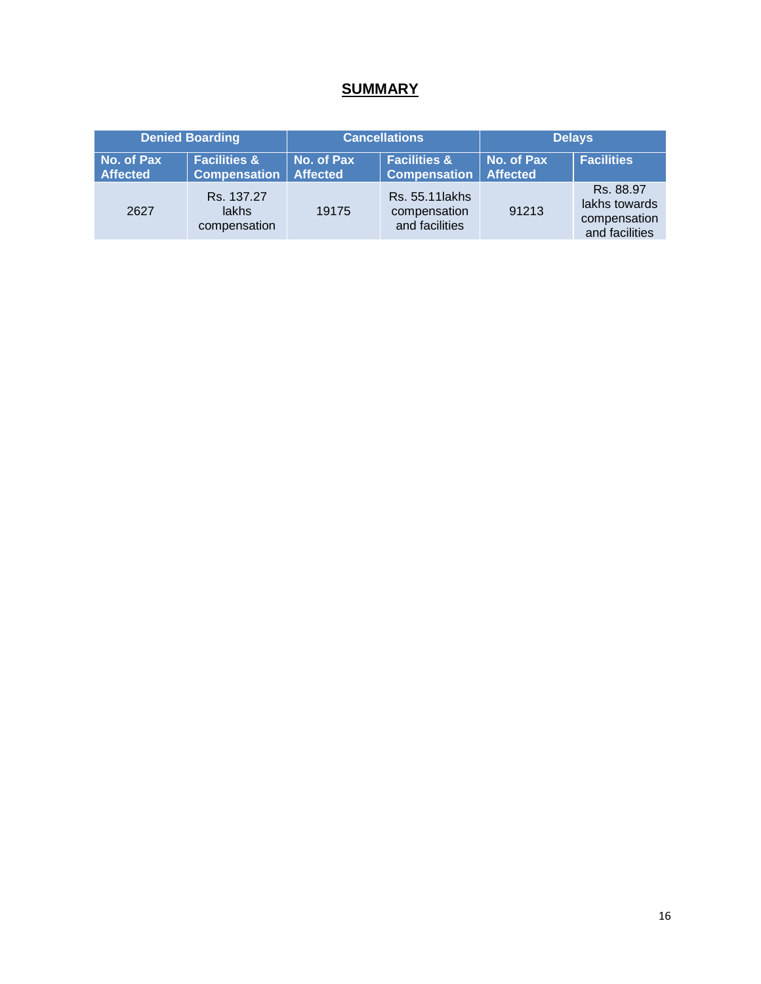## **SUMMARY**

|                               | <b>Denied Boarding</b>                         |                               | <b>Cancellations</b>                              | <b>Delays</b>                 |                                                              |  |
|-------------------------------|------------------------------------------------|-------------------------------|---------------------------------------------------|-------------------------------|--------------------------------------------------------------|--|
| No. of Pax<br><b>Affected</b> | <b>Facilities &amp;</b><br><b>Compensation</b> | No. of Pax<br><b>Affected</b> | <b>Facilities &amp;</b><br><b>Compensation</b>    | No. of Pax<br><b>Affected</b> | <b>Facilities</b>                                            |  |
| 2627                          | Rs. 137.27<br>lakhs<br>compensation            | 19175                         | Rs. 55.11 lakhs<br>compensation<br>and facilities | 91213                         | Rs. 88.97<br>lakhs towards<br>compensation<br>and facilities |  |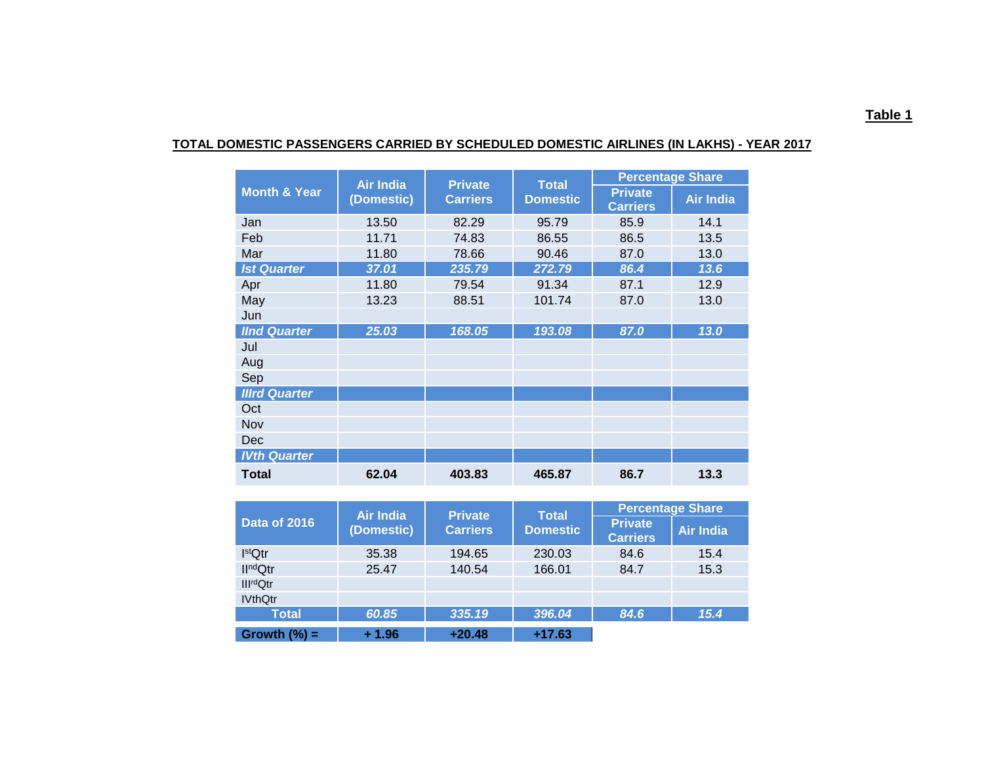|                         | <b>Air India</b> | <b>Private</b>  | <b>Total</b>    | <b>Percentage Share</b>           |                  |  |  |
|-------------------------|------------------|-----------------|-----------------|-----------------------------------|------------------|--|--|
| <b>Month &amp; Year</b> | (Domestic)       | <b>Carriers</b> | <b>Domestic</b> | <b>Private</b><br><b>Carriers</b> | <b>Air India</b> |  |  |
| Jan                     | 13.50            | 82.29           | 95.79           | 85.9                              | 14.1             |  |  |
| Feb                     | 11.71            | 74.83           | 86.55           | 86.5                              | 13.5             |  |  |
| Mar                     | 11.80            | 78.66           | 90.46           | 87.0                              | 13.0             |  |  |
| <b>Ist Quarter</b>      | 37.01            | 235.79          | 272.79          | 86.4                              | 13.6             |  |  |
| Apr                     | 11.80            | 79.54           | 91.34           | 87.1                              | 12.9             |  |  |
| May                     | 13.23            | 88.51           | 101.74          | 87.0                              | 13.0             |  |  |
| Jun                     |                  |                 |                 |                                   |                  |  |  |
| <b>IInd Quarter</b>     | 25.03            | 168.05          | 193.08          | 87.0                              | 13.0             |  |  |
| Jul                     |                  |                 |                 |                                   |                  |  |  |
| Aug                     |                  |                 |                 |                                   |                  |  |  |
| Sep                     |                  |                 |                 |                                   |                  |  |  |
| <b>Illrd Quarter</b>    |                  |                 |                 |                                   |                  |  |  |
| Oct                     |                  |                 |                 |                                   |                  |  |  |
| Nov                     |                  |                 |                 |                                   |                  |  |  |
| Dec                     |                  |                 |                 |                                   |                  |  |  |
| <b>IVth Quarter</b>     |                  |                 |                 |                                   |                  |  |  |
| <b>Total</b>            | 62.04            | 403.83          | 465.87          | 86.7                              | 13.3             |  |  |

#### **TOTAL DOMESTIC PASSENGERS CARRIED BY SCHEDULED DOMESTIC AIRLINES (IN LAKHS) - YEAR 2017**

|                       | Air India  | <b>Private</b>  | <b>Total</b>    | <b>Percentage Share</b>           |                  |  |  |
|-----------------------|------------|-----------------|-----------------|-----------------------------------|------------------|--|--|
| Data of 2016          | (Domestic) | <b>Carriers</b> | <b>Domestic</b> | <b>Private</b><br><b>Carriers</b> | <b>Air India</b> |  |  |
| I <sup>st</sup> Qtr   | 35.38      | 194.65          | 230.03          | 84.6                              | 15.4             |  |  |
| II <sup>nd</sup> Qtr  | 25.47      | 140.54          | 166.01          | 84.7                              | 15.3             |  |  |
| Ill <sup>rd</sup> Qtr |            |                 |                 |                                   |                  |  |  |
| <b>IVthQtr</b>        |            |                 |                 |                                   |                  |  |  |
| <b>Total</b>          | 60.85      | 335.19          | 396.04          | 84.6                              | 15.4             |  |  |
| Growth $(\% )$ =      | $+1.96$    | $+20.48$        | $+17.63$        |                                   |                  |  |  |

#### **Table 1**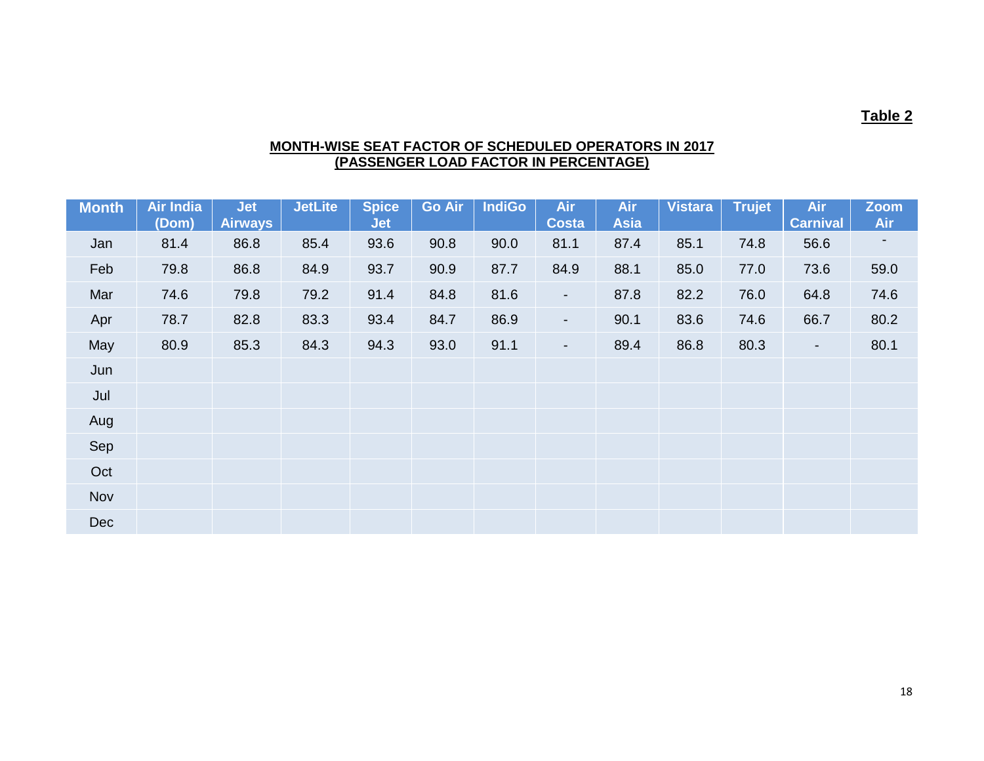#### **Table 2**

#### **MONTH-WISE SEAT FACTOR OF SCHEDULED OPERATORS IN 2017 (PASSENGER LOAD FACTOR IN PERCENTAGE)**

| <b>Month</b> | <b>Air India</b><br>(Dom) | <b>Jet</b><br><b>Airways</b> | <b>JetLite</b> | <b>Spice</b><br><b>Jet</b> | <b>Go Air</b> | <b>IndiGo</b> | <b>Air</b><br><b>Costa</b> | <b>Air</b><br><b>Asia</b> | Vistara | <b>Trujet</b> | <b>Air</b><br><b>Carnival</b> | <b>Zoom</b><br>Air |
|--------------|---------------------------|------------------------------|----------------|----------------------------|---------------|---------------|----------------------------|---------------------------|---------|---------------|-------------------------------|--------------------|
| Jan          | 81.4                      | 86.8                         | 85.4           | 93.6                       | 90.8          | 90.0          | 81.1                       | 87.4                      | 85.1    | 74.8          | 56.6                          |                    |
| Feb          | 79.8                      | 86.8                         | 84.9           | 93.7                       | 90.9          | 87.7          | 84.9                       | 88.1                      | 85.0    | 77.0          | 73.6                          | 59.0               |
| Mar          | 74.6                      | 79.8                         | 79.2           | 91.4                       | 84.8          | 81.6          | $\sim$                     | 87.8                      | 82.2    | 76.0          | 64.8                          | 74.6               |
| Apr          | 78.7                      | 82.8                         | 83.3           | 93.4                       | 84.7          | 86.9          | $\blacksquare$             | 90.1                      | 83.6    | 74.6          | 66.7                          | 80.2               |
| May          | 80.9                      | 85.3                         | 84.3           | 94.3                       | 93.0          | 91.1          | $\blacksquare$             | 89.4                      | 86.8    | 80.3          | $\blacksquare$                | 80.1               |
| Jun          |                           |                              |                |                            |               |               |                            |                           |         |               |                               |                    |
| Jul          |                           |                              |                |                            |               |               |                            |                           |         |               |                               |                    |
| Aug          |                           |                              |                |                            |               |               |                            |                           |         |               |                               |                    |
| Sep          |                           |                              |                |                            |               |               |                            |                           |         |               |                               |                    |
| Oct          |                           |                              |                |                            |               |               |                            |                           |         |               |                               |                    |
| Nov          |                           |                              |                |                            |               |               |                            |                           |         |               |                               |                    |
| <b>Dec</b>   |                           |                              |                |                            |               |               |                            |                           |         |               |                               |                    |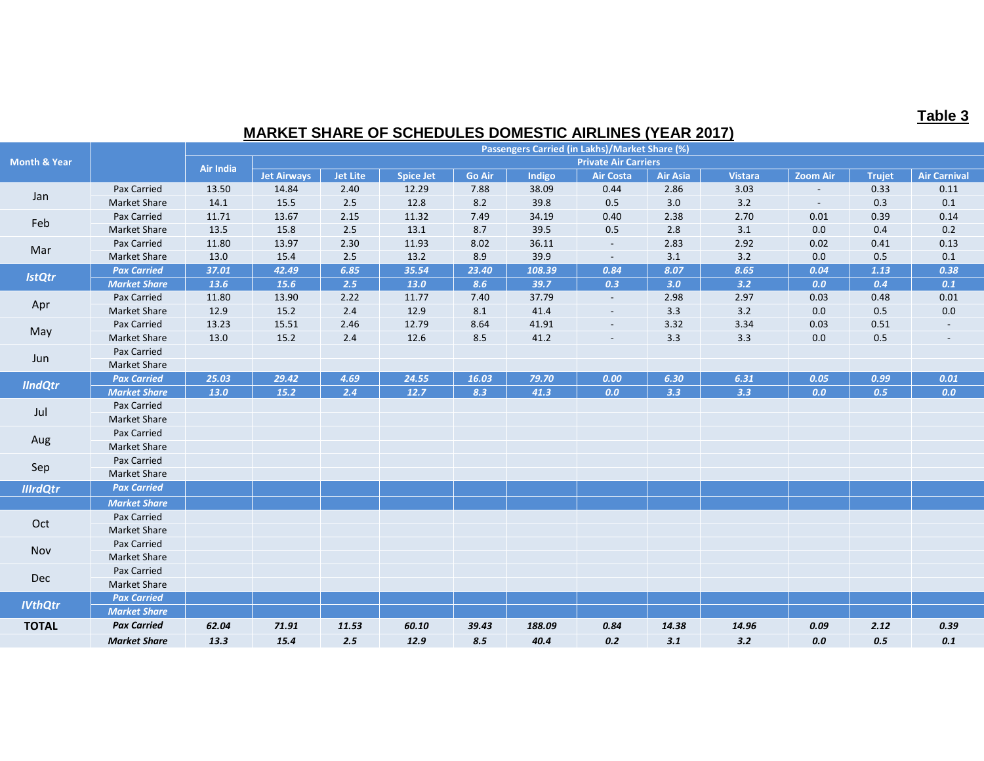## **Table 3**

## **MARKET SHARE OF SCHEDULES DOMESTIC AIRLINES (YEAR 2017)**

|                         |                     |                  |                             |                 |                  |               |        | Passengers Carried (in Lakhs)/Market Share (%) |                 |                |                          |               |                          |
|-------------------------|---------------------|------------------|-----------------------------|-----------------|------------------|---------------|--------|------------------------------------------------|-----------------|----------------|--------------------------|---------------|--------------------------|
| <b>Month &amp; Year</b> |                     | <b>Air India</b> | <b>Private Air Carriers</b> |                 |                  |               |        |                                                |                 |                |                          |               |                          |
|                         |                     |                  | <b>Jet Airways</b>          | <b>Jet Lite</b> | <b>Spice Jet</b> | <b>Go Air</b> | Indigo | <b>Air Costa</b>                               | <b>Air Asia</b> | <b>Vistara</b> | <b>Zoom Air</b>          | <b>Trujet</b> | <b>Air Carnival</b>      |
| Jan                     | Pax Carried         | 13.50            | 14.84                       | 2.40            | 12.29            | 7.88          | 38.09  | 0.44                                           | 2.86            | 3.03           | $\overline{\phantom{a}}$ | 0.33          | 0.11                     |
|                         | <b>Market Share</b> | 14.1             | 15.5                        | 2.5             | 12.8             | 8.2           | 39.8   | 0.5                                            | 3.0             | $3.2$          | $\sim$                   | 0.3           | 0.1                      |
| Feb                     | Pax Carried         | 11.71            | 13.67                       | 2.15            | 11.32            | 7.49          | 34.19  | 0.40                                           | 2.38            | 2.70           | 0.01                     | 0.39          | 0.14                     |
|                         | <b>Market Share</b> | 13.5             | 15.8                        | 2.5             | 13.1             | 8.7           | 39.5   | 0.5                                            | 2.8             | 3.1            | 0.0                      | 0.4           | 0.2                      |
| Mar                     | Pax Carried         | 11.80            | 13.97                       | 2.30            | 11.93            | 8.02          | 36.11  | $\sim$                                         | 2.83            | 2.92           | 0.02                     | 0.41          | 0.13                     |
|                         | <b>Market Share</b> | 13.0             | 15.4                        | 2.5             | 13.2             | 8.9           | 39.9   | $\sim$                                         | 3.1             | 3.2            | 0.0                      | $0.5\,$       | $0.1\,$                  |
| <b>IstQtr</b>           | <b>Pax Carried</b>  | 37.01            | 42.49                       | 6.85            | 35.54            | 23.40         | 108.39 | 0.84                                           | 8.07            | 8.65           | 0.04                     | 1.13          | 0.38                     |
|                         | <b>Market Share</b> | 13.6             | 15.6                        | 2.5             | 13.0             | 8.6           | 39.7   | 0.3                                            | 3.0             | 3.2            | 0.0                      | 0.4           | 0.1                      |
|                         | Pax Carried         | 11.80            | 13.90                       | 2.22            | 11.77            | 7.40          | 37.79  | $\sim$                                         | 2.98            | 2.97           | 0.03                     | 0.48          | 0.01                     |
| Apr                     | <b>Market Share</b> | 12.9             | 15.2                        | 2.4             | 12.9             | 8.1           | 41.4   | $\blacksquare$                                 | 3.3             | $3.2$          | 0.0                      | $0.5\,$       | $0.0\,$                  |
| May                     | Pax Carried         | 13.23            | 15.51                       | 2.46            | 12.79            | 8.64          | 41.91  | $\blacksquare$                                 | 3.32            | 3.34           | 0.03                     | 0.51          | $\overline{\phantom{a}}$ |
|                         | <b>Market Share</b> | 13.0             | 15.2                        | 2.4             | 12.6             | 8.5           | 41.2   | $\sim$                                         | 3.3             | 3.3            | 0.0                      | $0.5\,$       | $\overline{\phantom{a}}$ |
| Jun                     | Pax Carried         |                  |                             |                 |                  |               |        |                                                |                 |                |                          |               |                          |
|                         | <b>Market Share</b> |                  |                             |                 |                  |               |        |                                                |                 |                |                          |               |                          |
| <b>IIndQtr</b>          | <b>Pax Carried</b>  | 25.03            | 29.42                       | 4.69            | 24.55            | 16.03         | 79.70  | 0.00                                           | 6.30            | 6.31           | 0.05                     | 0.99          | 0.01                     |
|                         | <b>Market Share</b> | 13.0             | 15.2                        | 2.4             | 12.7             | 8.3           | 41.3   | 0.0                                            | 3.3             | 3.3            | 0.0                      | 0.5           | 0.0                      |
| Jul                     | Pax Carried         |                  |                             |                 |                  |               |        |                                                |                 |                |                          |               |                          |
|                         | <b>Market Share</b> |                  |                             |                 |                  |               |        |                                                |                 |                |                          |               |                          |
| Aug                     | Pax Carried         |                  |                             |                 |                  |               |        |                                                |                 |                |                          |               |                          |
|                         | Market Share        |                  |                             |                 |                  |               |        |                                                |                 |                |                          |               |                          |
| Sep                     | Pax Carried         |                  |                             |                 |                  |               |        |                                                |                 |                |                          |               |                          |
|                         | <b>Market Share</b> |                  |                             |                 |                  |               |        |                                                |                 |                |                          |               |                          |
| <b>IllrdQtr</b>         | <b>Pax Carried</b>  |                  |                             |                 |                  |               |        |                                                |                 |                |                          |               |                          |
|                         | <b>Market Share</b> |                  |                             |                 |                  |               |        |                                                |                 |                |                          |               |                          |
|                         | Pax Carried         |                  |                             |                 |                  |               |        |                                                |                 |                |                          |               |                          |
| Oct                     | <b>Market Share</b> |                  |                             |                 |                  |               |        |                                                |                 |                |                          |               |                          |
|                         | Pax Carried         |                  |                             |                 |                  |               |        |                                                |                 |                |                          |               |                          |
| Nov                     | Market Share        |                  |                             |                 |                  |               |        |                                                |                 |                |                          |               |                          |
|                         | Pax Carried         |                  |                             |                 |                  |               |        |                                                |                 |                |                          |               |                          |
| Dec                     | <b>Market Share</b> |                  |                             |                 |                  |               |        |                                                |                 |                |                          |               |                          |
| <b>IVthQtr</b>          | <b>Pax Carried</b>  |                  |                             |                 |                  |               |        |                                                |                 |                |                          |               |                          |
|                         | <b>Market Share</b> |                  |                             |                 |                  |               |        |                                                |                 |                |                          |               |                          |
| <b>TOTAL</b>            | <b>Pax Carried</b>  | 62.04            | 71.91                       | 11.53           | 60.10            | 39.43         | 188.09 | 0.84                                           | 14.38           | 14.96          | 0.09                     | 2.12          | 0.39                     |
|                         | <b>Market Share</b> | 13.3             | 15.4                        | 2.5             | 12.9             | 8.5           | 40.4   | 0.2                                            | 3.1             | 3.2            | 0.0                      | 0.5           | $\pmb{0.1}$              |